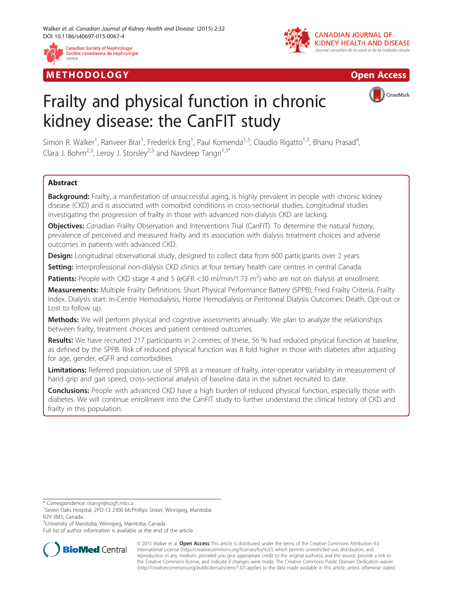

M E THODO L OGY Open Access





# Frailty and physical function in chronic kidney disease: the CanFIT study

Simon R. Walker<sup>1</sup>, Ranveer Brar<sup>1</sup>, Frederick Eng<sup>1</sup>, Paul Komenda<sup>1,3</sup>, Claudio Rigatto<sup>1,3</sup>, Bhanu Prasad<sup>4</sup> , Clara J. Bohm<sup>2,3</sup>, Leroy J. Storsley<sup>2,3</sup> and Navdeep Tangri<sup>1,3\*</sup>

# **Abstract**

Background: Frailty, a manifestation of unsuccessful aging, is highly prevalent in people with chronic kidney disease (CKD) and is associated with comorbid conditions in cross-sectional studies. Longitudinal studies investigating the progression of frailty in those with advanced non-dialysis CKD are lacking.

Objectives: Canadian Frailty Observation and Interventions Trial (CanFIT). To determine the natural history, prevalence of perceived and measured frailty and its association with dialysis treatment choices and adverse outcomes in patients with advanced CKD.

Design: Longitudinal observational study, designed to collect data from 600 participants over 2 years.

Setting: Interprofessional non-dialysis CKD clinics at four tertiary health care centres in central Canada.

Patients: People with CKD stage 4 and 5 (eGFR <30 ml/min/1.73 m<sup>2</sup>) who are not on dialysis at enrollment.

Measurements: Multiple Frailty Definitions: Short Physical Performance Battery (SPPB), Fried Frailty Criteria, Frailty Index. Dialysis start: In-Centre Hemodialysis, Home Hemodialysis or Peritoneal Dialysis Outcomes: Death, Opt-out or Lost to follow up.

**Methods:** We will perform physical and cognitive assessments annually. We plan to analyze the relationships between frailty, treatment choices and patient centered outcomes.

Results: We have recruited 217 participants in 2 centres; of these, 56 % had reduced physical function at baseline, as defined by the SPPB. Risk of reduced physical function was 8 fold higher in those with diabetes after adjusting for age, gender, eGFR and comorbidities.

Limitations: Referred population, use of SPPB as a measure of frailty, inter-operator variability in measurement of hand grip and gait speed, cross-sectional analysis of baseline data in the subset recruited to date.

Conclusions: People with advanced CKD have a high burden of reduced physical function, especially those with diabetes. We will continue enrollment into the CanFIT study to further understand the clinical history of CKD and frailty in this population.

\* Correspondence: [ntangri@sogh.mb.ca](mailto:ntangri@sogh.mb.ca) <sup>1</sup>

<sup>1</sup>Seven Oaks Hospital, 2PD-13 2300 McPhillips Street, Winnipeg, Manitoba R2V 3M3, Canada

<sup>3</sup>University of Manitoba, Winnipeg, Manitoba, Canada

Full list of author information is available at the end of the article



© 2015 Walker et al. Open Access This article is distributed under the terms of the Creative Commons Attribution 4.0 International License [\(http://creativecommons.org/licenses/by/4.0/](http://creativecommons.org/licenses/by/4.0/)), which permits unrestricted use, distribution, and reproduction in any medium, provided you give appropriate credit to the original author(s) and the source, provide a link to the Creative Commons license, and indicate if changes were made. The Creative Commons Public Domain Dedication waiver [\(http://creativecommons.org/publicdomain/zero/1.0/](http://creativecommons.org/publicdomain/zero/1.0/)) applies to the data made available in this article, unless otherwise stated.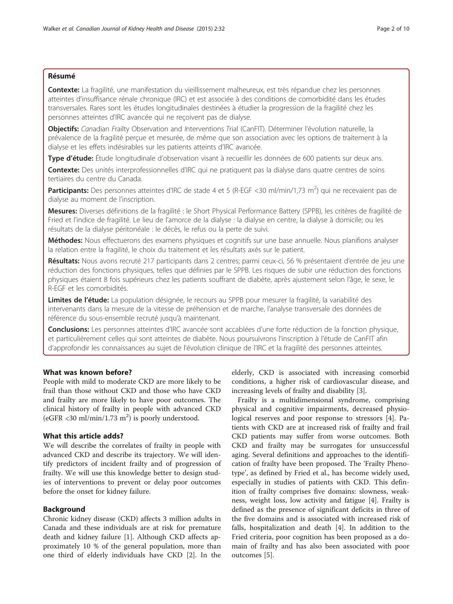# Résumé

Contexte: La fragilité, une manifestation du vieillissement malheureux, est très répandue chez les personnes atteintes d'insuffisance rénale chronique (IRC) et est associée à des conditions de comorbidité dans les études transversales. Rares sont les études longitudinales destinées à étudier la progression de la fragilité chez les personnes atteintes d'IRC avancée qui ne reçoivent pas de dialyse.

Objectifs: Canadian Frailty Observation and Interventions Trial (CanFIT). Déterminer l'évolution naturelle, la prévalence de la fragilité perçue et mesurée, de même que son association avec les options de traitement à la dialyse et les effets indésirables sur les patients atteints d'IRC avancée.

Type d'étude: Étude longitudinale d'observation visant à recueillir les données de 600 patients sur deux ans.

Contexte: Des unités interprofessionnelles d'IRC qui ne pratiquent pas la dialyse dans quatre centres de soins tertiaires du centre du Canada.

Participants: Des personnes atteintes d'IRC de stade 4 et 5 (R-EGF <30 ml/min/1,73 m<sup>2</sup>) qui ne recevaient pas de dialyse au moment de l'inscription.

Mesures: Diverses définitions de la fragilité : le Short Physical Performance Battery (SPPB), les critères de fragilité de Fried et l'indice de fragilité. Le lieu de l'amorce de la dialyse : la dialyse en centre, la dialyse à domicile; ou les résultats de la dialyse péritonéale : le décès, le refus ou la perte de suivi.

Méthodes: Nous effectuerons des examens physiques et cognitifs sur une base annuelle. Nous planifions analyser la relation entre la fragilité, le choix du traitement et les résultats axés sur le patient.

Résultats: Nous avons recruté 217 participants dans 2 centres; parmi ceux-ci, 56 % présentaient d'entrée de jeu une réduction des fonctions physiques, telles que définies par le SPPB. Les risques de subir une réduction des fonctions physiques étaient 8 fois supérieurs chez les patients souffrant de diabète, après ajustement selon l'âge, le sexe, le R-EGF et les comorbidités.

Limites de l'étude: La population désignée, le recours au SPPB pour mesurer la fragilité, la variabilité des intervenants dans la mesure de la vitesse de préhension et de marche, l'analyse transversale des données de référence du sous-ensemble recruté jusqu'à maintenant.

Conclusions: Les personnes atteintes d'IRC avancée sont accablées d'une forte réduction de la fonction physique, et particulièrement celles qui sont atteintes de diabète. Nous poursuivrons l'inscription à l'étude de CanFIT afin d'approfondir les connaissances au sujet de l'évolution clinique de l'IRC et la fragilité des personnes atteintes.

## What was known before?

People with mild to moderate CKD are more likely to be frail than those without CKD and those who have CKD and frailty are more likely to have poor outcomes. The clinical history of frailty in people with advanced CKD (eGFR <30 ml/min/1.73 m<sup>2</sup>) is poorly understood.

## What this article adds?

We will describe the correlates of frailty in people with advanced CKD and describe its trajectory. We will identify predictors of incident frailty and of progression of frailty. We will use this knowledge better to design studies of interventions to prevent or delay poor outcomes before the onset for kidney failure.

## Background

Chronic kidney disease (CKD) affects 3 million adults in Canada and these individuals are at risk for premature death and kidney failure [\[1](#page-9-0)]. Although CKD affects approximately 10 % of the general population, more than one third of elderly individuals have CKD [[2](#page-9-0)]. In the elderly, CKD is associated with increasing comorbid conditions, a higher risk of cardiovascular disease, and increasing levels of frailty and disability [\[3](#page-9-0)].

Frailty is a multidimensional syndrome, comprising physical and cognitive impairments, decreased physiological reserves and poor response to stressors [[4](#page-9-0)]. Patients with CKD are at increased risk of frailty and frail CKD patients may suffer from worse outcomes. Both CKD and frailty may be surrogates for unsuccessful aging. Several definitions and approaches to the identification of frailty have been proposed. The 'Frailty Phenotype', as defined by Fried et al., has become widely used, especially in studies of patients with CKD. This definition of frailty comprises five domains: slowness, weakness, weight loss, low activity and fatigue [[4\]](#page-9-0). Frailty is defined as the presence of significant deficits in three of the five domains and is associated with increased risk of falls, hospitalization and death [\[4](#page-9-0)]. In addition to the Fried criteria, poor cognition has been proposed as a domain of frailty and has also been associated with poor outcomes [\[5](#page-9-0)].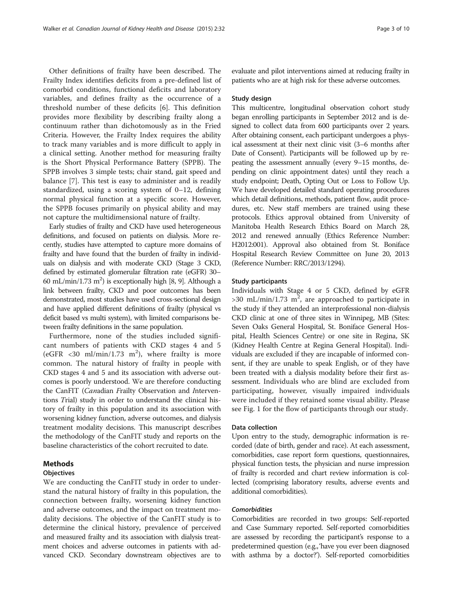Other definitions of frailty have been described. The Frailty Index identifies deficits from a pre-defined list of comorbid conditions, functional deficits and laboratory variables, and defines frailty as the occurrence of a threshold number of these deficits [\[6](#page-9-0)]. This definition provides more flexibility by describing frailty along a continuum rather than dichotomously as in the Fried Criteria. However, the Frailty Index requires the ability to track many variables and is more difficult to apply in a clinical setting. Another method for measuring frailty is the Short Physical Performance Battery (SPPB). The SPPB involves 3 simple tests; chair stand, gait speed and balance [[7\]](#page-9-0). This test is easy to administer and is readily standardized, using a scoring system of 0–12, defining normal physical function at a specific score. However, the SPPB focuses primarily on physical ability and may not capture the multidimensional nature of frailty.

Early studies of frailty and CKD have used heterogeneous definitions, and focused on patients on dialysis. More recently, studies have attempted to capture more domains of frailty and have found that the burden of frailty in individuals on dialysis and with moderate CKD (Stage 3 CKD, defined by estimated glomerular filtration rate (eGFR) 30– 60 mL/min/1.73 m<sup>2</sup>) is exceptionally high [\[8](#page-9-0), [9](#page-9-0)]. Although a link between frailty, CKD and poor outcomes has been demonstrated, most studies have used cross-sectional design and have applied different definitions of frailty (physical vs deficit based vs multi system), with limited comparisons between frailty definitions in the same population.

Furthermore, none of the studies included significant numbers of patients with CKD stages 4 and 5 (eGFR <30 ml/min/1.73 m<sup>2</sup>), where frailty is more common. The natural history of frailty in people with CKD stages 4 and 5 and its association with adverse outcomes is poorly understood. We are therefore conducting the CanFIT (Canadian Frailty Observation and Interventions Trial) study in order to understand the clinical history of frailty in this population and its association with worsening kidney function, adverse outcomes, and dialysis treatment modality decisions. This manuscript describes the methodology of the CanFIT study and reports on the baseline characteristics of the cohort recruited to date.

## Methods

## **Objectives**

We are conducting the CanFIT study in order to understand the natural history of frailty in this population, the connection between frailty, worsening kidney function and adverse outcomes, and the impact on treatment modality decisions. The objective of the CanFIT study is to determine the clinical history, prevalence of perceived and measured frailty and its association with dialysis treatment choices and adverse outcomes in patients with advanced CKD. Secondary downstream objectives are to evaluate and pilot interventions aimed at reducing frailty in patients who are at high risk for these adverse outcomes.

## Study design

This multicentre, longitudinal observation cohort study began enrolling participants in September 2012 and is designed to collect data from 600 participants over 2 years. After obtaining consent, each participant undergoes a physical assessment at their next clinic visit (3–6 months after Date of Consent). Participants will be followed up by repeating the assessment annually (every 9–15 months, depending on clinic appointment dates) until they reach a study endpoint; Death, Opting Out or Loss to Follow Up. We have developed detailed standard operating procedures which detail definitions, methods, patient flow, audit procedures, etc. New staff members are trained using these protocols. Ethics approval obtained from University of Manitoba Health Research Ethics Board on March 28, 2012 and renewed annually (Ethics Reference Number: H2012:001). Approval also obtained from St. Boniface Hospital Research Review Committee on June 20, 2013 (Reference Number: RRC/2013/1294).

## Study participants

Individuals with Stage 4 or 5 CKD, defined by eGFR  $>$ 30 mL/min/1.73 m<sup>2</sup>, are approached to participate in the study if they attended an interprofessional non-dialysis CKD clinic at one of three sites in Winnipeg, MB (Sites: Seven Oaks General Hospital, St. Boniface General Hospital, Health Sciences Centre) or one site in Regina, SK (Kidney Health Centre at Regina General Hospital). Individuals are excluded if they are incapable of informed consent, if they are unable to speak English, or of they have been treated with a dialysis modality before their first assessment. Individuals who are blind are excluded from participating, however, visually impaired individuals were included if they retained some visual ability. Please see Fig. [1](#page-3-0) for the flow of participants through our study.

#### Data collection

Upon entry to the study, demographic information is recorded (date of birth, gender and race). At each assessment, comorbidities, case report form questions, questionnaires, physical function tests, the physician and nurse impression of frailty is recorded and chart review information is collected (comprising laboratory results, adverse events and additional comorbidities).

## **Comorbidities**

Comorbidities are recorded in two groups: Self-reported and Case Summary reported. Self-reported comorbidities are assessed by recording the participant's response to a predetermined question (e.g., 'have you ever been diagnosed with asthma by a doctor?'). Self-reported comorbidities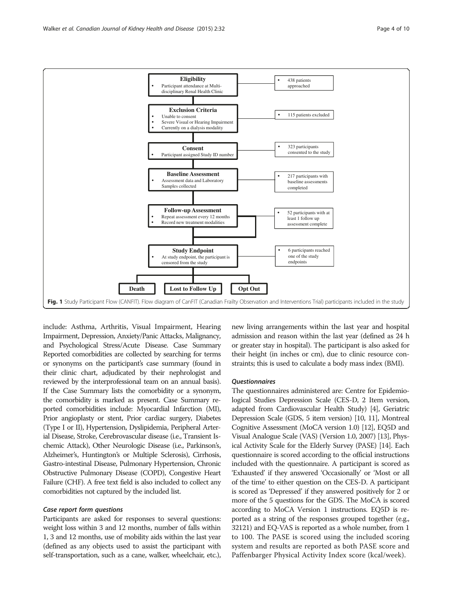<span id="page-3-0"></span>

include: Asthma, Arthritis, Visual Impairment, Hearing Impairment, Depression, Anxiety/Panic Attacks, Malignancy, and Psychological Stress/Acute Disease. Case Summary Reported comorbidities are collected by searching for terms or synonyms on the participant's case summary (found in their clinic chart, adjudicated by their nephrologist and reviewed by the interprofessional team on an annual basis). If the Case Summary lists the comorbidity or a synonym, the comorbidity is marked as present. Case Summary reported comorbidities include: Myocardial Infarction (MI), Prior angioplasty or stent, Prior cardiac surgery, Diabetes (Type I or II), Hypertension, Dyslipidemia, Peripheral Arterial Disease, Stroke, Cerebrovascular disease (i.e., Transient Ischemic Attack), Other Neurologic Disease (i.e., Parkinson's, Alzheimer's, Huntington's or Multiple Sclerosis), Cirrhosis, Gastro-intestinal Disease, Pulmonary Hypertension, Chronic Obstructive Pulmonary Disease (COPD), Congestive Heart Failure (CHF). A free text field is also included to collect any comorbidities not captured by the included list.

## Case report form questions

Participants are asked for responses to several questions: weight loss within 3 and 12 months, number of falls within 1, 3 and 12 months, use of mobility aids within the last year (defined as any objects used to assist the participant with self-transportation, such as a cane, walker, wheelchair, etc.), new living arrangements within the last year and hospital admission and reason within the last year (defined as 24 h or greater stay in hospital). The participant is also asked for their height (in inches or cm), due to clinic resource constraints; this is used to calculate a body mass index (BMI).

#### **Ouestionnaires**

The questionnaires administered are: Centre for Epidemiological Studies Depression Scale (CES-D, 2 Item version, adapted from Cardiovascular Health Study) [\[4](#page-9-0)], Geriatric Depression Scale (GDS, 5 item version) [\[10, 11\]](#page-9-0), Montreal Cognitive Assessment (MoCA version 1.0) [[12](#page-9-0)], EQ5D and Visual Analogue Scale (VAS) (Version 1.0, 2007) [[13](#page-9-0)], Physical Activity Scale for the Elderly Survey (PASE) [[14](#page-9-0)]. Each questionnaire is scored according to the official instructions included with the questionnaire. A participant is scored as 'Exhausted' if they answered 'Occasionally' or 'Most or all of the time' to either question on the CES-D. A participant is scored as 'Depressed' if they answered positively for 2 or more of the 5 questions for the GDS. The MoCA is scored according to MoCA Version 1 instructions. EQ5D is reported as a string of the responses grouped together (e.g., 32121) and EQ-VAS is reported as a whole number, from 1 to 100. The PASE is scored using the included scoring system and results are reported as both PASE score and Paffenbarger Physical Activity Index score (kcal/week).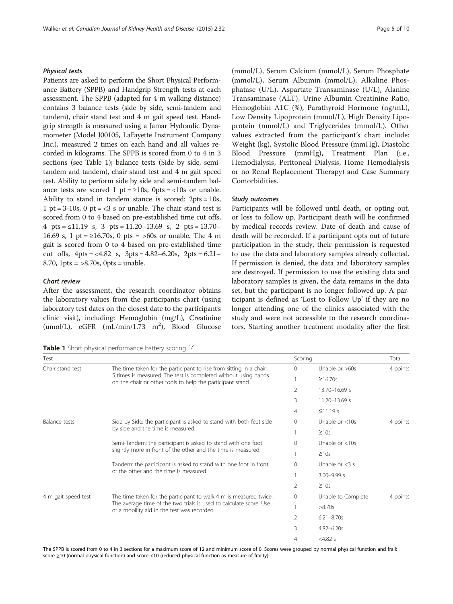## Physical tests

Patients are asked to perform the Short Physical Performance Battery (SPPB) and Handgrip Strength tests at each assessment. The SPPB (adapted for 4 m walking distance) contains 3 balance tests (side by side, semi-tandem and tandem), chair stand test and 4 m gait speed test. Handgrip strength is measured using a Jamar Hydraulic Dynamometer (Model J00105, LaFayette Instrument Company Inc.), measured 2 times on each hand and all values recorded in kilograms. The SPPB is scored from 0 to 4 in 3 sections (see Table 1); balance tests (Side by side, semitandem and tandem), chair stand test and 4 m gait speed test. Ability to perform side by side and semi-tandem balance tests are scored 1 pt =  $\geq$ 10s, 0pts = <10s or unable. Ability to stand in tandem stance is scored:  $2pts = 10s$ , 1 pt =  $3-10s$ , 0 pt =  $<$ 3 s or unable. The chair stand test is scored from 0 to 4 based on pre-established time cut offs, 4 pts =  $\leq$ 11.19 s, 3 pts = 11.20–13.69 s, 2 pts = 13.70– 16.69 s, 1 pt =  $\geq$ 16.70s, 0 pts =  $>$ 60s or unable. The 4 m gait is scored from 0 to 4 based on pre-established time cut offs,  $4pts = <4.82$  s,  $3pts = 4.82 - 6.20s$ ,  $2pts = 6.21 -$ 8.70,  $1pts = >8.70s$ ,  $0pts = unable$ .

#### Chart review

After the assessment, the research coordinator obtains the laboratory values from the participants chart (using laboratory test dates on the closest date to the participant's clinic visit), including: Hemoglobin (mg/L), Creatinine  $(umol/L)$ , eGFR  $(mL/min/1.73 \text{ m}^2)$ , Blood Glucose

Table 1 Short physical performance battery scoring [[7](#page-9-0)]

(mmol/L), Serum Calcium (mmol/L), Serum Phosphate (mmol/L), Serum Albumin (mmol/L), Alkaline Phosphatase (U/L), Aspartate Transaminase (U/L), Alanine Transaminase (ALT), Urine Albumin Creatinine Ratio, Hemoglobin A1C (%), Parathyroid Hormone (ng/mL), Low Density Lipoprotein (mmol/L), High Density Lipoprotein (mmol/L) and Triglycerides (mmol/L). Other values extracted from the participant's chart include: Weight (kg), Systolic Blood Pressure (mmHg), Diastolic Blood Pressure (mmHg), Treatment Plan (i.e., Hemodialysis, Peritoneal Dialysis, Home Hemodialysis or no Renal Replacement Therapy) and Case Summary Comorbidities.

## Study outcomes

Participants will be followed until death, or opting out, or loss to follow up. Participant death will be confirmed by medical records review. Date of death and cause of death will be recorded. If a participant opts out of future participation in the study, their permission is requested to use the data and laboratory samples already collected. If permission is denied, the data and laboratory samples are destroyed. If permission to use the existing data and laboratory samples is given, the data remains in the data set, but the participant is no longer followed up. A participant is defined as 'Lost to Follow Up' if they are no longer attending one of the clinics associated with the study and were not accessible to the research coordinators. Starting another treatment modality after the first

| Test                 |                                                                                                                                                                                                    | Scoring      |                    | Total    |
|----------------------|----------------------------------------------------------------------------------------------------------------------------------------------------------------------------------------------------|--------------|--------------------|----------|
| Chair stand test     | The time taken for the participant to rise from sitting in a chair<br>5 times is measured. The test is completed without using hands<br>on the chair or other tools to help the participant stand. | $\Omega$     | Unable or >60s     | 4 points |
|                      |                                                                                                                                                                                                    |              | $\geq$ 16.70s      |          |
|                      |                                                                                                                                                                                                    | 2            | 13.70-16.69 s      |          |
|                      |                                                                                                                                                                                                    | 3            | 11.20-13.69 s      |          |
|                      |                                                                                                                                                                                                    | 4            | $\leq$ 11.19 s     |          |
| <b>Balance tests</b> | Side by Side: the participant is asked to stand with both feet side<br>by side and the time is measured.                                                                                           | $\mathbf{0}$ | Unable or $<$ 10s  | 4 points |
|                      |                                                                                                                                                                                                    |              | $\geq 10s$         |          |
|                      | Semi-Tandem: the participant is asked to stand with one foot<br>slightly more in front of the other and the time is measured.                                                                      | $\Omega$     | Unable or $<$ 10s  |          |
|                      |                                                                                                                                                                                                    |              | $\geq 10s$         |          |
|                      | Tandem: the participant is asked to stand with one foot in front<br>of the other and the time is measured                                                                                          | $\Omega$     | Unable or $<$ 3 s  |          |
|                      |                                                                                                                                                                                                    |              | $3.00 - 9.99 s$    |          |
|                      |                                                                                                                                                                                                    | 2            | $\geq$ 10s         |          |
| 4 m gait speed test  | The time taken for the participant to walk 4 m is measured twice.<br>The average time of the two trials is used to calculate score. Use<br>of a mobility aid in the test was recorded.             | $\mathbf 0$  | Unable to Complete | 4 points |
|                      |                                                                                                                                                                                                    |              | >8.70s             |          |
|                      |                                                                                                                                                                                                    | 2            | $6.21 - 8.70s$     |          |
|                      |                                                                                                                                                                                                    | 3            | $4.82 - 6.20s$     |          |
|                      |                                                                                                                                                                                                    | 4            | $<4.82$ s          |          |

The SPPB is scored from 0 to 4 in 3 sections for a maximum score of 12 and minimum score of 0. Scores were grouped by normal physical function and frail: score ≥10 (normal physical function) and score <10 (reduced physical function as measure of frailty)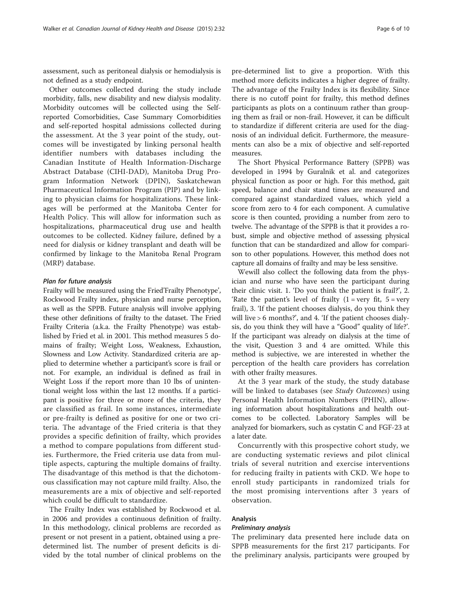assessment, such as peritoneal dialysis or hemodialysis is not defined as a study endpoint.

Other outcomes collected during the study include morbidity, falls, new disability and new dialysis modality. Morbidity outcomes will be collected using the Selfreported Comorbidities, Case Summary Comorbidities and self-reported hospital admissions collected during the assessment. At the 3 year point of the study, outcomes will be investigated by linking personal health identifier numbers with databases including the Canadian Institute of Health Information-Discharge Abstract Database (CIHI-DAD), Manitoba Drug Program Information Network (DPIN), Saskatchewan Pharmaceutical Information Program (PIP) and by linking to physician claims for hospitalizations. These linkages will be performed at the Manitoba Center for Health Policy. This will allow for information such as hospitalizations, pharmaceutical drug use and health outcomes to be collected. Kidney failure, defined by a need for dialysis or kidney transplant and death will be confirmed by linkage to the Manitoba Renal Program (MRP) database.

## Plan for future analysis

Frailty will be measured using the Fried'Frailty Phenotype', Rockwood Frailty index, physician and nurse perception, as well as the SPPB. Future analysis will involve applying these other definitions of frailty to the dataset. The Fried Frailty Criteria (a.k.a. the Frailty Phenotype) was established by Fried et al. in 2001. This method measures 5 domains of frailty; Weight Loss, Weakness, Exhaustion, Slowness and Low Activity. Standardized criteria are applied to determine whether a participant's score is frail or not. For example, an individual is defined as frail in Weight Loss if the report more than 10 lbs of unintentional weight loss within the last 12 months. If a participant is positive for three or more of the criteria, they are classified as frail. In some instances, intermediate or pre-frailty is defined as positive for one or two criteria. The advantage of the Fried criteria is that they provides a specific definition of frailty, which provides a method to compare populations from different studies. Furthermore, the Fried criteria use data from multiple aspects, capturing the multiple domains of frailty. The disadvantage of this method is that the dichotomous classification may not capture mild frailty. Also, the measurements are a mix of objective and self-reported which could be difficult to standardize.

The Frailty Index was established by Rockwood et al. in 2006 and provides a continuous definition of frailty. In this methodology, clinical problems are recorded as present or not present in a patient, obtained using a predetermined list. The number of present deficits is divided by the total number of clinical problems on the pre-determined list to give a proportion. With this method more deficits indicates a higher degree of frailty. The advantage of the Frailty Index is its flexibility. Since there is no cutoff point for frailty, this method defines participants as plots on a continuum rather than grouping them as frail or non-frail. However, it can be difficult to standardize if different criteria are used for the diagnosis of an individual deficit. Furthermore, the measurements can also be a mix of objective and self-reported measures.

The Short Physical Performance Battery (SPPB) was developed in 1994 by Guralnik et al. and categorizes physical function as poor or high. For this method, gait speed, balance and chair stand times are measured and compared against standardized values, which yield a score from zero to 4 for each component. A cumulative score is then counted, providing a number from zero to twelve. The advantage of the SPPB is that it provides a robust, simple and objective method of assessing physical function that can be standardized and allow for comparison to other populations. However, this method does not capture all domains of frailty and may be less sensitive.

Wewill also collect the following data from the physician and nurse who have seen the participant during their clinic visit. 1. 'Do you think the patient is frail?', 2. 'Rate the patient's level of frailty  $(1 = \text{very fit}, 5 = \text{very}$ frail), 3. 'If the patient chooses dialysis, do you think they will live > 6 months?', and 4. 'If the patient chooses dialysis, do you think they will have a "Good" quality of life?'. If the participant was already on dialysis at the time of the visit, Question 3 and 4 are omitted. While this method is subjective, we are interested in whether the perception of the health care providers has correlation with other frailty measures.

At the 3 year mark of the study, the study database will be linked to databases (see Study Outcomes) using Personal Health Information Numbers (PHIN), allowing information about hospitalizations and health outcomes to be collected. Laboratory Samples will be analyzed for biomarkers, such as cystatin C and FGF-23 at a later date.

Concurrently with this prospective cohort study, we are conducting systematic reviews and pilot clinical trials of several nutrition and exercise interventions for reducing frailty in patients with CKD. We hope to enroll study participants in randomized trials for the most promising interventions after 3 years of observation.

# Analysis

## Preliminary analysis

The preliminary data presented here include data on SPPB measurements for the first 217 participants. For the preliminary analysis, participants were grouped by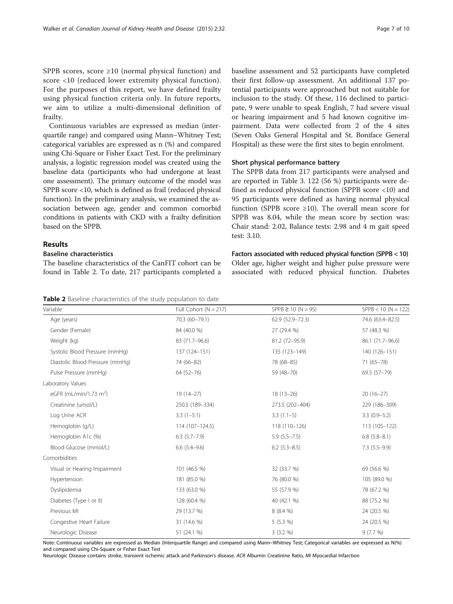SPPB scores, score  $\geq 10$  (normal physical function) and score <10 (reduced lower extremity physical function). For the purposes of this report, we have defined frailty using physical function criteria only. In future reports, we aim to utilize a multi-dimensional definition of frailty.

Continuous variables are expressed as median (interquartile range) and compared using Mann–Whitney Test; categorical variables are expressed as n (%) and compared using Chi-Square or Fisher Exact Test. For the preliminary analysis, a logistic regression model was created using the baseline data (participants who had undergone at least one assessment). The primary outcome of the model was SPPB score <10, which is defined as frail (reduced physical function). In the preliminary analysis, we examined the association between age, gender and common comorbid conditions in patients with CKD with a frailty definition based on the SPPB.

# Results

## Baseline characteristics

The baseline characteristics of the CanFIT cohort can be found in Table 2. To date, 217 participants completed a

baseline assessment and 52 participants have completed their first follow-up assessment. An additional 137 potential participants were approached but not suitable for inclusion to the study. Of these, 116 declined to participate, 9 were unable to speak English, 7 had severe visual or hearing impairment and 5 had known cognitive impairment. Data were collected from 2 of the 4 sites (Seven Oaks General Hospital and St. Boniface General Hospital) as these were the first sites to begin enrolment.

## Short physical performance battery

The SPPB data from 217 participants were analysed and are reported in Table [3](#page-7-0). 122 (56 %) participants were defined as reduced physical function (SPPB score <10) and 95 participants were defined as having normal physical function (SPPB score  $\geq$ 10). The overall mean score for SPPB was 8.04, while the mean score by section was: Chair stand: 2.02, Balance tests: 2.98 and 4 m gait speed test: 3.10.

Factors associated with reduced physical function (SPPB < 10) Older age, higher weight and higher pulse pressure were associated with reduced physical function. Diabetes

| Table 2 Baseline characteristics of the study population to date |  |  |  |
|------------------------------------------------------------------|--|--|--|
|------------------------------------------------------------------|--|--|--|

| Variable                           | Full Cohort ( $N = 217$ ) | $SPPB \ge 10 (N = 95)$ | $SPPB < 10 (N = 122)$ |
|------------------------------------|---------------------------|------------------------|-----------------------|
| Age (years)                        | 70.3 (60-79.1)            | 62.9 (52.9-72.3)       | 74.6 (63.4-82.5)      |
| Gender (Female)                    | 84 (40.0 %)               | 27 (29.4 %)            | 57 (48.3 %)           |
| Weight (kg)                        | 83 (71.7-96.6)            | 81.2 (72-95.9)         | 86.1 (71.7-96.6)      |
| Systolic Blood Pressure (mmHg)     | 137 (124-151)             | 135 (123-149)          | 140 (126-151)         |
| Diastolic Blood Pressure (mmHg)    | 74 (66-82)                | 78 (68-85)             | $71(65 - 78)$         |
| Pulse Pressure (mmHg)              | 64 (52-76)                | 59 (48-70)             | 69.5 (57-79)          |
| Laboratory Values                  |                           |                        |                       |
| eGFR (mL/min/1.73 m <sup>2</sup> ) | $19(14-27)$               | $18(13-26)$            | $20(16-27)$           |
| Creatinine (umol/L)                | 250.5 (189-334)           | 273.5 (202-404)        | 229 (186-309)         |
| Log Urine ACR                      | $3.3(1-5.1)$              | $3.3(1.1-5)$           | $3.3(0.9-5.2)$        |
| Hemoglobin (g/L)                   | 114 (107-124.5)           | 118 (110-126)          | 113 (105-122)         |
| Hemoglobin A1c (%)                 | $6.3(5.7 - 7.9)$          | $5.9(5.5 - 7.5)$       | $6.8$ $(5.8-8.1)$     |
| Blood Glucose (mmol/L)             | $6.6$ $(5.4-9.6)$         | $6.2$ (5.3-8.5)        | $7.3(5.5-9.9)$        |
| Comorbidities                      |                           |                        |                       |
| Visual or Hearing Impairment       | 101 (46.5 %)              | 32 (33.7 %)            | 69 (56.6 %)           |
| Hypertension                       | 181 (85.0 %)              | 76 (80.0 %)            | 105 (89.0 %)          |
| Dyslipidemia                       | 133 (63.0 %)              | 55 (57.9 %)            | 78 (67.2 %)           |
| Diabetes (Type I or II)            | 128 (60.4 %)              | 40 (42.1 %)            | 88 (75.2 %)           |
| Previous MI                        | 29 (13.7 %)               | 8 (8.4 %)              | 24 (20.5 %)           |
| Congestive Heart Failure           | 31 (14.6 %)               | 5(5.3%)                | 24 (20.5 %)           |
| Neurologic Disease                 | 51 (24.1 %)               | 3(3.2%)                | $9(7.7\%)$            |

Note: Continuous variables are expressed as Median (Interquartile Range) and compared using Mann–Whitney Test; Categorical variables are expressed as N(%) and compared using Chi-Square or Fisher Exact Test

Neurologic Disease contains stroke, transient ischemic attack and Parkinson's disease. ACR Albumin Creatinine Ratio, MI Myocardial Infarction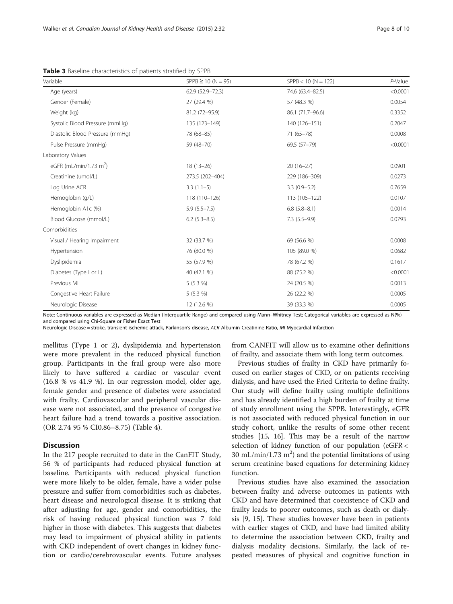| Variable                           | $SPPB \ge 10$ (N = 95) | $SPPB < 10$ (N = 122) | $P-Value$ |
|------------------------------------|------------------------|-----------------------|-----------|
| Age (years)                        | 62.9 (52.9-72.3)       | 74.6 (63.4-82.5)      | < 0.0001  |
| Gender (Female)                    | 27 (29.4 %)            | 57 (48.3 %)           | 0.0054    |
| Weight (kg)                        | 81.2 (72-95.9)         | 86.1 (71.7-96.6)      | 0.3352    |
| Systolic Blood Pressure (mmHg)     | 135 (123-149)          | 140 (126-151)         | 0.2047    |
| Diastolic Blood Pressure (mmHg)    | 78 (68-85)             | 71 (65-78)            | 0.0008    |
| Pulse Pressure (mmHg)              | 59 (48-70)             | 69.5 (57-79)          | < 0.0001  |
| Laboratory Values                  |                        |                       |           |
| eGFR (mL/min/1.73 m <sup>2</sup> ) | $18(13-26)$            | $20(16-27)$           | 0.0901    |
| Creatinine (umol/L)                | 273.5 (202-404)        | 229 (186-309)         | 0.0273    |
| Log Urine ACR                      | $3.3(1.1-5)$           | $3.3(0.9 - 5.2)$      | 0.7659    |
| Hemoglobin (g/L)                   | 118 (110-126)          | 113 (105-122)         | 0.0107    |
| Hemoglobin A1c (%)                 | $5.9(5.5 - 7.5)$       | $6.8$ $(5.8-8.1)$     | 0.0014    |
| Blood Glucose (mmol/L)             | $6.2$ (5.3-8.5)        | $7.3(5.5-9.9)$        | 0.0793    |
| Comorbidities                      |                        |                       |           |
| Visual / Hearing Impairment        | 32 (33.7 %)            | 69 (56.6 %)           | 0.0008    |
| Hypertension                       | 76 (80.0 %)            | 105 (89.0 %)          | 0.0682    |
| Dyslipidemia                       | 55 (57.9 %)            | 78 (67.2 %)           | 0.1617    |
| Diabetes (Type I or II)            | 40 (42.1 %)            | 88 (75.2 %)           | < 0.0001  |
| Previous MI                        | 5(5.3%                 | 24 (20.5 %)           | 0.0013    |
| Congestive Heart Failure           | 5(5.3%)                | 26 (22.2 %)           | 0.0005    |
| Neurologic Disease                 | 12 (12.6 %)            | 39 (33.3 %)           | 0.0005    |
|                                    |                        |                       |           |

<span id="page-7-0"></span>Table 3 Baseline characteristics of patients stratified by SPPB

Note: Continuous variables are expressed as Median (Interquartile Range) and compared using Mann–Whitney Test; Categorical variables are expressed as N(%) and compared using Chi-Square or Fisher Exact Test

Neurologic Disease = stroke, transient ischemic attack, Parkinson's disease, ACR Albumin Creatinine Ratio, MI Myocardial Infarction

mellitus (Type 1 or 2), dyslipidemia and hypertension were more prevalent in the reduced physical function group. Participants in the frail group were also more likely to have suffered a cardiac or vascular event (16.8 % vs 41.9 %). In our regression model, older age, female gender and presence of diabetes were associated with frailty. Cardiovascular and peripheral vascular disease were not associated, and the presence of congestive heart failure had a trend towards a positive association. (OR 2.74 95 % CI0.86–8.75) (Table [4\)](#page-8-0).

## **Discussion**

In the 217 people recruited to date in the CanFIT Study, 56 % of participants had reduced physical function at baseline. Participants with reduced physical function were more likely to be older, female, have a wider pulse pressure and suffer from comorbidities such as diabetes, heart disease and neurological disease. It is striking that after adjusting for age, gender and comorbidities, the risk of having reduced physical function was 7 fold higher in those with diabetes. This suggests that diabetes may lead to impairment of physical ability in patients with CKD independent of overt changes in kidney function or cardio/cerebrovascular events. Future analyses

from CANFIT will allow us to examine other definitions of frailty, and associate them with long term outcomes.

Previous studies of frailty in CKD have primarily focused on earlier stages of CKD, or on patients receiving dialysis, and have used the Fried Criteria to define frailty. Our study will define frailty using multiple definitions and has already identified a high burden of frailty at time of study enrollment using the SPPB. Interestingly, eGFR is not associated with reduced physical function in our study cohort, unlike the results of some other recent studies [[15](#page-9-0), [16](#page-9-0)]. This may be a result of the narrow selection of kidney function of our population (eGFR < 30 mL/min/1.73 m<sup>2</sup>) and the potential limitations of using serum creatinine based equations for determining kidney function.

Previous studies have also examined the association between frailty and adverse outcomes in patients with CKD and have determined that coexistence of CKD and frailty leads to poorer outcomes, such as death or dialysis [[9, 15](#page-9-0)]. These studies however have been in patients with earlier stages of CKD, and have had limited ability to determine the association between CKD, frailty and dialysis modality decisions. Similarly, the lack of repeated measures of physical and cognitive function in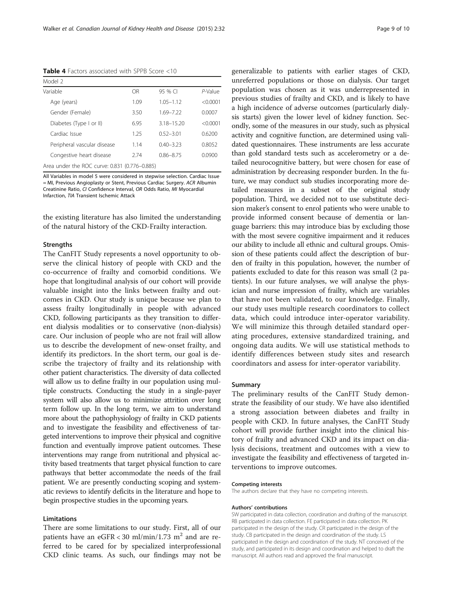<span id="page-8-0"></span>Table 4 Factors associated with SPPB Score <10

| Model 2                                       |      |                |            |
|-----------------------------------------------|------|----------------|------------|
| Variable                                      | OR.  | 95 % CI        | $P-V$ alue |
| Age (years)                                   | 1.09 | $1.05 - 1.12$  | < 0.0001   |
| Gender (Female)                               | 3.50 | 1.69-7.22      | 0.0007     |
| Diabetes (Type I or II)                       | 6.95 | $3.18 - 15.20$ | < 0.0001   |
| Cardiac Issue                                 | 1.25 | $0.52 - 3.01$  | 0.6200     |
| Peripheral vascular disease                   | 1.14 | $0.40 - 3.23$  | 0.8052     |
| Congestive heart disease                      | 274  | $0.86 - 8.75$  | 0.0900     |
| Area under the ROC curve: 0.831 (0.776-0.885) |      |                |            |

All Variables in model 5 were considered in stepwise selection. Cardiac Issue = MI, Previous Angioplasty or Stent, Previous Cardiac Surgery. ACR Albumin Creatinine Ratio, CI Confidence Interval, OR Odds Ratio, MI Myocardial Infarction, TIA Transient Ischemic Attack

the existing literature has also limited the understanding of the natural history of the CKD-Frailty interaction.

#### **Strengths**

The CanFIT Study represents a novel opportunity to observe the clinical history of people with CKD and the co-occurrence of frailty and comorbid conditions. We hope that longitudinal analysis of our cohort will provide valuable insight into the links between frailty and outcomes in CKD. Our study is unique because we plan to assess frailty longitudinally in people with advanced CKD, following participants as they transition to different dialysis modalities or to conservative (non-dialysis) care. Our inclusion of people who are not frail will allow us to describe the development of new-onset frailty, and identify its predictors. In the short term, our goal is describe the trajectory of frailty and its relationship with other patient characteristics. The diversity of data collected will allow us to define frailty in our population using multiple constructs. Conducting the study in a single-payer system will also allow us to minimize attrition over long term follow up. In the long term, we aim to understand more about the pathophysiology of frailty in CKD patients and to investigate the feasibility and effectiveness of targeted interventions to improve their physical and cognitive function and eventually improve patient outcomes. These interventions may range from nutritional and physical activity based treatments that target physical function to care pathways that better accommodate the needs of the frail patient. We are presently conducting scoping and systematic reviews to identify deficits in the literature and hope to begin prospective studies in the upcoming years.

## Limitations

There are some limitations to our study. First, all of our patients have an eGFR < 30 ml/min/1.73 m<sup>2</sup> and are referred to be cared for by specialized interprofessional CKD clinic teams. As such, our findings may not be

generalizable to patients with earlier stages of CKD, unreferred populations or those on dialysis. Our target population was chosen as it was underrepresented in previous studies of frailty and CKD, and is likely to have a high incidence of adverse outcomes (particularly dialysis starts) given the lower level of kidney function. Secondly, some of the measures in our study, such as physical activity and cognitive function, are determined using validated questionnaires. These instruments are less accurate than gold standard tests such as accelerometry or a detailed neurocognitive battery, but were chosen for ease of administration by decreasing responder burden. In the future, we may conduct sub studies incorporating more detailed measures in a subset of the original study population. Third, we decided not to use substitute decision maker's consent to enrol patients who were unable to provide informed consent because of dementia or language barriers: this may introduce bias by excluding those with the most severe cognitive impairment and it reduces our ability to include all ethnic and cultural groups. Omission of these patients could affect the description of burden of frailty in this population, however, the number of patients excluded to date for this reason was small (2 patients). In our future analyses, we will analyse the physician and nurse impression of frailty, which are variables that have not been validated, to our knowledge. Finally, our study uses multiple research coordinators to collect data, which could introduce inter-operator variability. We will minimize this through detailed standard operating procedures, extensive standardized training, and ongoing data audits. We will use statistical methods to identify differences between study sites and research coordinators and assess for inter-operator variability.

#### Summary

The preliminary results of the CanFIT Study demonstrate the feasibility of our study. We have also identified a strong association between diabetes and frailty in people with CKD. In future analyses, the CanFIT Study cohort will provide further insight into the clinical history of frailty and advanced CKD and its impact on dialysis decisions, treatment and outcomes with a view to investigate the feasibility and effectiveness of targeted interventions to improve outcomes.

#### Competing interests

The authors declare that they have no competing interests.

#### Authors' contributions

SW participated in data collection, coordination and drafting of the manuscript. RB participated in data collection. FE participated in data collection. PK participated in the design of the study. CR participated in the design of the study. CB participated in the design and coordination of the study. LS participated in the design and coordination of the study. NT conceived of the study, and participated in its design and coordination and helped to draft the manuscript. All authors read and approved the final manuscript.